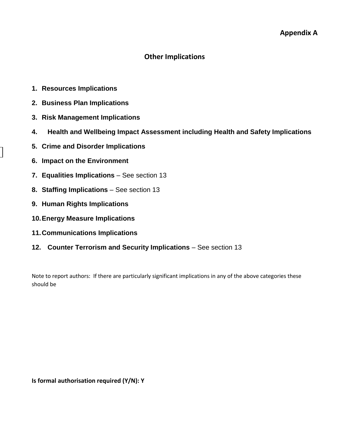# **Other Implications**

- **1. Resources Implications**
- **2. Business Plan Implications**
- **3. Risk Management Implications**
- **4. Health and Wellbeing Impact Assessment including Health and Safety Implications**
- **5. Crime and Disorder Implications**
- **6. Impact on the Environment**
- **7. Equalities Implications**  See section 13
- **8. Staffing Implications**  See section 13
- **9. Human Rights Implications**
- **10.Energy Measure Implications**
- **11.Communications Implications**
- **12. Counter Terrorism and Security Implications** See section 13

Note to report authors: If there are particularly significant implications in any of the above categories these should be

**Is formal authorisation required (Y/N): Y**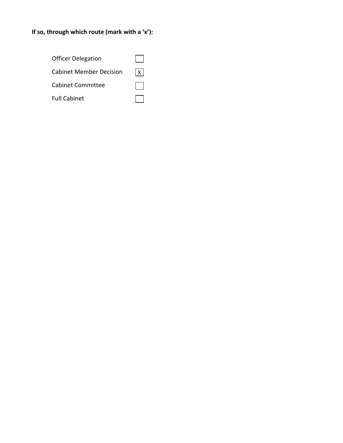# **If so, through which route (mark with a 'x'):**

| <b>Officer Delegation</b>      |       |
|--------------------------------|-------|
| <b>Cabinet Member Decision</b> | 1 X I |
| <b>Cabinet Committee</b>       |       |
| <b>Full Cabinet</b>            |       |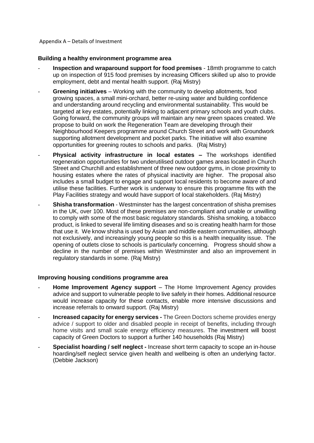#### Appendix A – Details of Investment

#### **Building a healthy environment programme area**

- **Inspection and wraparound support for food premises** 18mth programme to catch up on inspection of 915 food premises by increasing Officers skilled up also to provide employment, debt and mental health support. (Raj Mistry)
- **Greening initiatives** Working with the community to develop allotments, food growing spaces, a small mini-orchard, better re-using water and building confidence and understanding around recycling and environmental sustainability. This would be targeted at key estates, potentially linking to adjacent primary schools and youth clubs. Going forward, the community groups will maintain any new green spaces created. We propose to build on work the Regeneration Team are developing through their Neighbourhood Keepers programme around Church Street and work with Groundwork supporting allotment development and pocket parks. The initiative will also examine opportunities for greening routes to schools and parks. (Raj Mistry)
- **Physical activity infrastructure in local estates –** The workshops identified regeneration opportunities for two underutilised outdoor games areas located in Church Street and Churchill and establishment of three new outdoor gyms, in close proximity to housing estates where the rates of physical inactivity are higher. The proposal also includes a small budget to engage and support local residents to become aware of and utilise these facilities. Further work is underway to ensure this programme fits with the Play Facilities strategy and would have support of local stakeholders. (Raj Mistry)
- **Shisha transformation** Westminster has the largest concentration of shisha premises in the UK, over 100. Most of these premises are non-compliant and unable or unwilling to comply with some of the most basic regulatory standards. Shisha smoking, a tobacco product, is linked to several life limiting diseases and so is creating health harm for those that use it. We know shisha is used by Asian and middle eastern communities, although not exclusively, and increasingly young people so this is a health inequality issue. The opening of outlets close to schools is particularly concerning. Progress should show a decline in the number of premises within Westminster and also an improvement in regulatory standards in some. (Raj Mistry)

#### **Improving housing conditions programme area**

- **Home Improvement Agency support** The Home Improvement Agency provides advice and support to vulnerable people to live safely in their homes. Additional resource would increase capacity for these contacts, enable more intensive discussions and increase referrals to onward support. (Raj Mistry)
- **Increased capacity for energy services -** The Green Doctors scheme provides energy advice / support to older and disabled people in receipt of benefits, including through home visits and small scale energy efficiency measures. The investment will boost capacity of Green Doctors to support a further 140 households (Raj Mistry)
- **Specialist hoarding / self neglect -** Increase short term capacity to scope an in-house hoarding/self neglect service given health and wellbeing is often an underlying factor. (Debbie Jackson)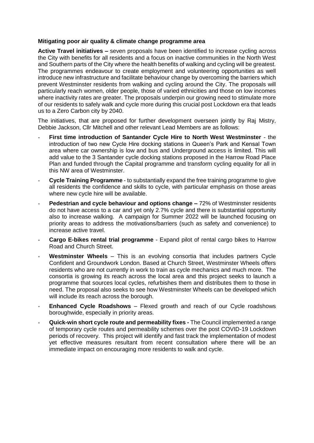#### **Mitigating poor air quality & climate change programme area**

**Active Travel initiatives –** seven proposals have been identified to increase cycling across the City with benefits for all residents and a focus on inactive communities in the North West and Southern parts of the City where the health benefits of walking and cycling will be greatest. The programmes endeavour to create employment and volunteering opportunities as well introduce new infrastructure and facilitate behaviour change by overcoming the barriers which prevent Westminster residents from walking and cycling around the City. The proposals will particularly reach women, older people, those of varied ethnicities and those on low incomes where inactivity rates are greater. The proposals underpin our growing need to stimulate more of our residents to safely walk and cycle more during this crucial post Lockdown era that leads us to a Zero Carbon city by 2040.

The initiatives, that are proposed for further development overseen jointly by Raj Mistry, Debbie Jackson, Cllr Mitchell and other relevant Lead Members are as follows:

- **First time introduction of Santander Cycle Hire to North West Westminster** the introduction of two new Cycle Hire docking stations in Queen's Park and Kensal Town area where car ownership is low and bus and Underground access is limited. This will add value to the 3 Santander cycle docking stations proposed in the Harrow Road Place Plan and funded through the Capital programme and transform cycling equality for all in this NW area of Westminster.
- **Cycle Training Programme** to substantially expand the free training programme to give all residents the confidence and skills to cycle, with particular emphasis on those areas where new cycle hire will be available.
- **Pedestrian and cycle behaviour and options change –** 72% of Westminster residents do not have access to a car and yet only 2.7% cycle and there is substantial opportunity also to increase walking. A campaign for Summer 2022 will be launched focusing on priority areas to address the motivations/barriers (such as safety and convenience) to increase active travel.
- **Cargo E-bikes rental trial programme** Expand pilot of rental cargo bikes to Harrow Road and Church Street.
- Westminster Wheels This is an evolving consortia that includes partners Cycle Confident and Groundwork London. Based at Church Street, Westminster Wheels offers residents who are not currently in work to train as cycle mechanics and much more. The consortia is growing its reach across the local area and this project seeks to launch a programme that sources local cycles, refurbishes them and distributes them to those in need. The proposal also seeks to see how Westminster Wheels can be developed which will include its reach across the borough.
- **Enhanced Cycle Roadshows** Flexed growth and reach of our Cycle roadshows boroughwide, especially in priority areas.
- **Quick-win short cycle route and permeability fixes -** The Council implemented a range of temporary cycle routes and permeability schemes over the post COVID-19 Lockdown periods of recovery. This project will identify and fast track the implementation of modest yet effective measures resultant from recent consultation where there will be an immediate impact on encouraging more residents to walk and cycle.